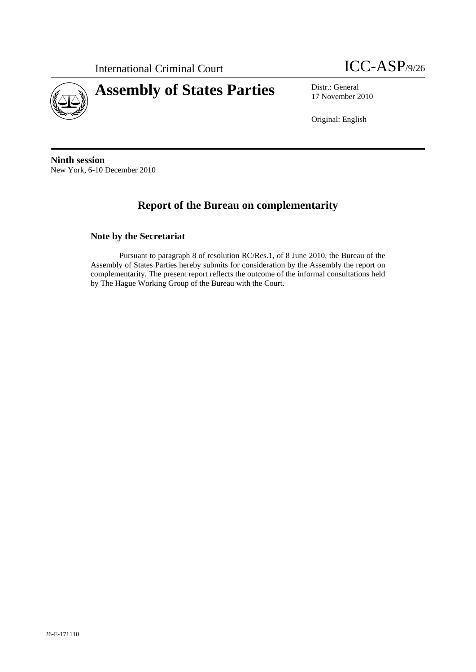



17 November 2010

Original: English

**Ninth session**  New York, 6-10 December 2010

# **Report of the Bureau on complementarity**

## **Note by the Secretariat**

Pursuant to paragraph 8 of resolution RC/Res.1, of 8 June 2010, the Bureau of the Assembly of States Parties hereby submits for consideration by the Assembly the report on complementarity. The present report reflects the outcome of the informal consultations held by The Hague Working Group of the Bureau with the Court.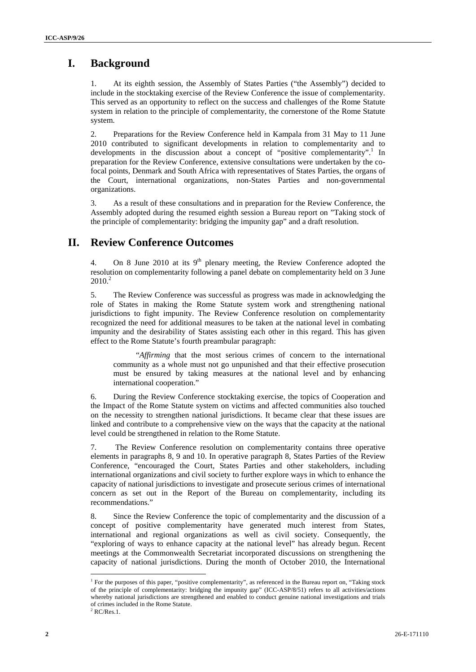## **I. Background**

1. At its eighth session, the Assembly of States Parties ("the Assembly") decided to include in the stocktaking exercise of the Review Conference the issue of complementarity. This served as an opportunity to reflect on the success and challenges of the Rome Statute system in relation to the principle of complementarity, the cornerstone of the Rome Statute system.

2. Preparations for the Review Conference held in Kampala from 31 May to 11 June 2010 contributed to significant developments in relation to complementarity and to developments in the discussion about a concept of "positive complementarity".<sup>1</sup> In preparation for the Review Conference, extensive consultations were undertaken by the cofocal points, Denmark and South Africa with representatives of States Parties, the organs of the Court, international organizations, non-States Parties and non-governmental organizations.

3. As a result of these consultations and in preparation for the Review Conference, the Assembly adopted during the resumed eighth session a Bureau report on "Taking stock of the principle of complementarity: bridging the impunity gap" and a draft resolution.

## **II. Review Conference Outcomes**

4. On 8 June 2010 at its  $9<sup>th</sup>$  plenary meeting, the Review Conference adopted the resolution on complementarity following a panel debate on complementarity held on 3 June  $2010.<sup>2</sup>$ 

5. The Review Conference was successful as progress was made in acknowledging the role of States in making the Rome Statute system work and strengthening national jurisdictions to fight impunity. The Review Conference resolution on complementarity recognized the need for additional measures to be taken at the national level in combating impunity and the desirability of States assisting each other in this regard. This has given effect to the Rome Statute's fourth preambular paragraph:

"*Affirming* that the most serious crimes of concern to the international community as a whole must not go unpunished and that their effective prosecution must be ensured by taking measures at the national level and by enhancing international cooperation."

6. During the Review Conference stocktaking exercise, the topics of Cooperation and the Impact of the Rome Statute system on victims and affected communities also touched on the necessity to strengthen national jurisdictions. It became clear that these issues are linked and contribute to a comprehensive view on the ways that the capacity at the national level could be strengthened in relation to the Rome Statute.

7. The Review Conference resolution on complementarity contains three operative elements in paragraphs 8, 9 and 10. In operative paragraph 8, States Parties of the Review Conference, "encouraged the Court, States Parties and other stakeholders, including international organizations and civil society to further explore ways in which to enhance the capacity of national jurisdictions to investigate and prosecute serious crimes of international concern as set out in the Report of the Bureau on complementarity, including its recommendations."

8. Since the Review Conference the topic of complementarity and the discussion of a concept of positive complementarity have generated much interest from States, international and regional organizations as well as civil society. Consequently, the "exploring of ways to enhance capacity at the national level" has already begun. Recent meetings at the Commonwealth Secretariat incorporated discussions on strengthening the capacity of national jurisdictions. During the month of October 2010, the International

 $\overline{a}$ 

<sup>&</sup>lt;sup>1</sup> For the purposes of this paper, "positive complementarity", as referenced in the Bureau report on, "Taking stock of the principle of complementarity: bridging the impunity gap" (ICC-ASP/8/51) refers to all activities/actions whereby national jurisdictions are strengthened and enabled to conduct genuine national investigations and trials of crimes included in the Rome Statute.

 $2$  RC/Res.1.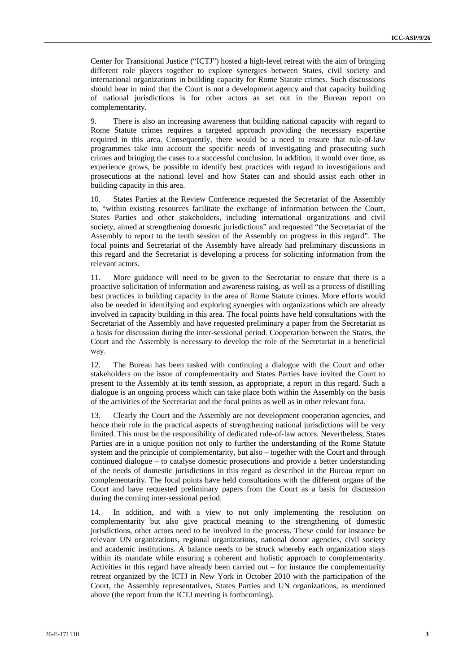Center for Transitional Justice ("ICTJ") hosted a high-level retreat with the aim of bringing different role players together to explore synergies between States, civil society and international organizations in building capacity for Rome Statute crimes. Such discussions should bear in mind that the Court is not a development agency and that capacity building of national jurisdictions is for other actors as set out in the Bureau report on complementarity.

9. There is also an increasing awareness that building national capacity with regard to Rome Statute crimes requires a targeted approach providing the necessary expertise required in this area. Consequently, there would be a need to ensure that rule-of-law programmes take into account the specific needs of investigating and prosecuting such crimes and bringing the cases to a successful conclusion. In addition, it would over time, as experience grows, be possible to identify best practices with regard to investigations and prosecutions at the national level and how States can and should assist each other in building capacity in this area.

10. States Parties at the Review Conference requested the Secretariat of the Assembly to, "within existing resources facilitate the exchange of information between the Court, States Parties and other stakeholders, including international organizations and civil society, aimed at strengthening domestic jurisdictions" and requested "the Secretariat of the Assembly to report to the tenth session of the Assembly on progress in this regard". The focal points and Secretariat of the Assembly have already had preliminary discussions in this regard and the Secretariat is developing a process for soliciting information from the relevant actors.

11. More guidance will need to be given to the Secretariat to ensure that there is a proactive solicitation of information and awareness raising, as well as a process of distilling best practices in building capacity in the area of Rome Statute crimes. More efforts would also be needed in identifying and exploring synergies with organizations which are already involved in capacity building in this area. The focal points have held consultations with the Secretariat of the Assembly and have requested preliminary a paper from the Secretariat as a basis for discussion during the inter-sessional period. Cooperation between the States, the Court and the Assembly is necessary to develop the role of the Secretariat in a beneficial way.

12. The Bureau has been tasked with continuing a dialogue with the Court and other stakeholders on the issue of complementarity and States Parties have invited the Court to present to the Assembly at its tenth session, as appropriate, a report in this regard. Such a dialogue is an ongoing process which can take place both within the Assembly on the basis of the activities of the Secretariat and the focal points as well as in other relevant fora.

13. Clearly the Court and the Assembly are not development cooperation agencies, and hence their role in the practical aspects of strengthening national jurisdictions will be very limited. This must be the responsibility of dedicated rule-of-law actors. Nevertheless, States Parties are in a unique position not only to further the understanding of the Rome Statute system and the principle of complementarity, but also – together with the Court and through continued dialogue – to catalyse domestic prosecutions and provide a better understanding of the needs of domestic jurisdictions in this regard as described in the Bureau report on complementarity. The focal points have held consultations with the different organs of the Court and have requested preliminary papers from the Court as a basis for discussion during the coming inter-sessional period.

14. In addition, and with a view to not only implementing the resolution on complementarity but also give practical meaning to the strengthening of domestic jurisdictions, other actors need to be involved in the process. These could for instance be relevant UN organizations, regional organizations, national donor agencies, civil society and academic institutions. A balance needs to be struck whereby each organization stays within its mandate while ensuring a coherent and holistic approach to complementarity. Activities in this regard have already been carried out – for instance the complementarity retreat organized by the ICTJ in New York in October 2010 with the participation of the Court, the Assembly representatives, States Parties and UN organizations, as mentioned above (the report from the ICTJ meeting is forthcoming).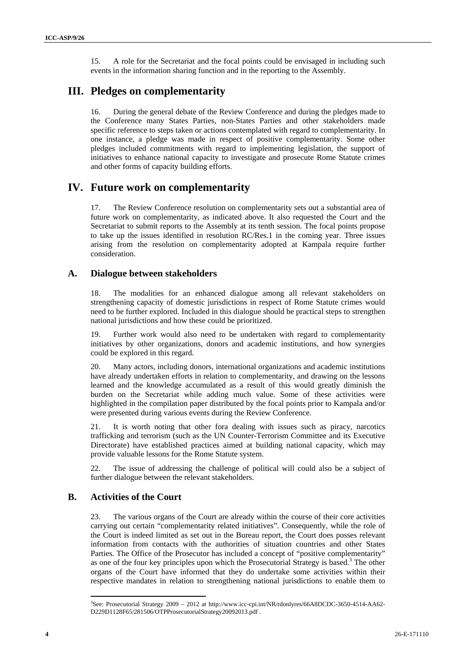15. A role for the Secretariat and the focal points could be envisaged in including such events in the information sharing function and in the reporting to the Assembly.

## **III. Pledges on complementarity**

16. During the general debate of the Review Conference and during the pledges made to the Conference many States Parties, non-States Parties and other stakeholders made specific reference to steps taken or actions contemplated with regard to complementarity. In one instance, a pledge was made in respect of positive complementarity. Some other pledges included commitments with regard to implementing legislation, the support of initiatives to enhance national capacity to investigate and prosecute Rome Statute crimes and other forms of capacity building efforts.

## **IV. Future work on complementarity**

17. The Review Conference resolution on complementarity sets out a substantial area of future work on complementarity, as indicated above. It also requested the Court and the Secretariat to submit reports to the Assembly at its tenth session. The focal points propose to take up the issues identified in resolution RC/Res.1 in the coming year. Three issues arising from the resolution on complementarity adopted at Kampala require further consideration.

#### **A. Dialogue between stakeholders**

18. The modalities for an enhanced dialogue among all relevant stakeholders on strengthening capacity of domestic jurisdictions in respect of Rome Statute crimes would need to be further explored. Included in this dialogue should be practical steps to strengthen national jurisdictions and how these could be prioritized.

19. Further work would also need to be undertaken with regard to complementarity initiatives by other organizations, donors and academic institutions, and how synergies could be explored in this regard.

20. Many actors, including donors, international organizations and academic institutions have already undertaken efforts in relation to complementarity, and drawing on the lessons learned and the knowledge accumulated as a result of this would greatly diminish the burden on the Secretariat while adding much value. Some of these activities were highlighted in the compilation paper distributed by the focal points prior to Kampala and/or were presented during various events during the Review Conference.

21. It is worth noting that other fora dealing with issues such as piracy, narcotics trafficking and terrorism (such as the UN Counter-Terrorism Committee and its Executive Directorate) have established practices aimed at building national capacity, which may provide valuable lessons for the Rome Statute system.

22. The issue of addressing the challenge of political will could also be a subject of further dialogue between the relevant stakeholders.

### **B. Activities of the Court**

23. The various organs of the Court are already within the course of their core activities carrying out certain "complementarity related initiatives". Consequently, while the role of the Court is indeed limited as set out in the Bureau report, the Court does posses relevant information from contacts with the authorities of situation countries and other States Parties. The Office of the Prosecutor has included a concept of "positive complementarity" as one of the four key principles upon which the Prosecutorial Strategy is based.<sup>3</sup> The other organs of the Court have informed that they do undertake some activities within their respective mandates in relation to strengthening national jurisdictions to enable them to

 $\overline{a}$ 

<sup>3</sup> See: Prosecutorial Strategy 2009 – 2012 at http://www.icc-cpi.int/NR/rdonlyres/66A8DCDC-3650-4514-AA62- D229D1128F65/281506/OTPProsecutorialStrategy20092013.pdf .